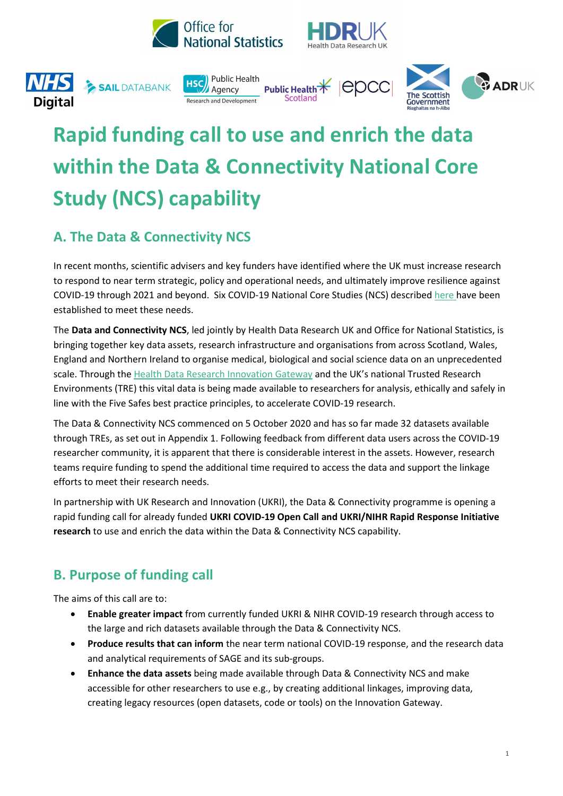











# Rapid funding call to use and enrich the data within the Data & Connectivity National Core Study (NCS) capability

# A. The Data & Connectivity NCS

In recent months, scientific advisers and key funders have identified where the UK must increase research to respond to near term strategic, policy and operational needs, and ultimately improve resilience against COVID-19 through 2021 and beyond. Six COVID-19 National Core Studies (NCS) described here have been established to meet these needs.

The Data and Connectivity NCS, led jointly by Health Data Research UK and Office for National Statistics, is bringing together key data assets, research infrastructure and organisations from across Scotland, Wales, England and Northern Ireland to organise medical, biological and social science data on an unprecedented scale. Through the Health Data Research Innovation Gateway and the UK's national Trusted Research Environments (TRE) this vital data is being made available to researchers for analysis, ethically and safely in line with the Five Safes best practice principles, to accelerate COVID-19 research.

The Data & Connectivity NCS commenced on 5 October 2020 and has so far made 32 datasets available through TREs, as set out in Appendix 1. Following feedback from different data users across the COVID-19 researcher community, it is apparent that there is considerable interest in the assets. However, research teams require funding to spend the additional time required to access the data and support the linkage efforts to meet their research needs.

In partnership with UK Research and Innovation (UKRI), the Data & Connectivity programme is opening a rapid funding call for already funded UKRI COVID-19 Open Call and UKRI/NIHR Rapid Response Initiative research to use and enrich the data within the Data & Connectivity NCS capability.

# B. Purpose of funding call

The aims of this call are to:

- Enable greater impact from currently funded UKRI & NIHR COVID-19 research through access to the large and rich datasets available through the Data & Connectivity NCS.
- Produce results that can inform the near term national COVID-19 response, and the research data and analytical requirements of SAGE and its sub-groups.
- Enhance the data assets being made available through Data & Connectivity NCS and make accessible for other researchers to use e.g., by creating additional linkages, improving data, creating legacy resources (open datasets, code or tools) on the Innovation Gateway.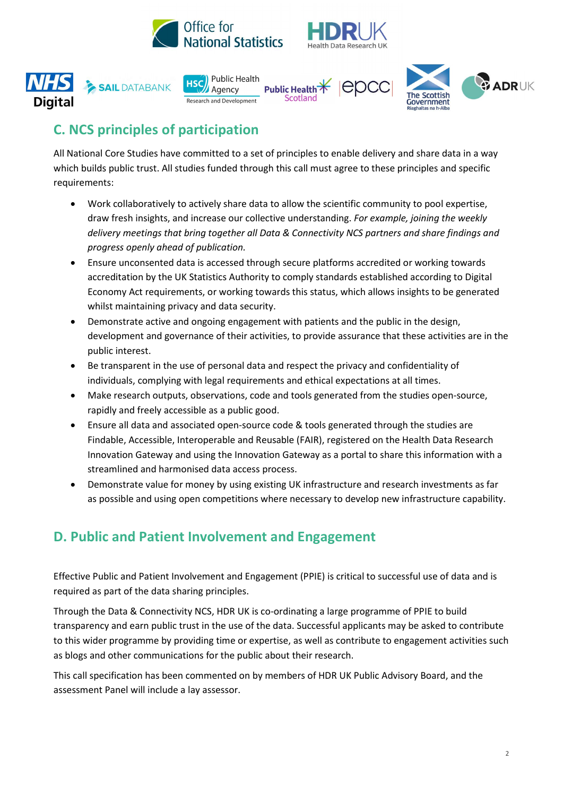











# C. NCS principles of participation

All National Core Studies have committed to a set of principles to enable delivery and share data in a way which builds public trust. All studies funded through this call must agree to these principles and specific requirements:

- Work collaboratively to actively share data to allow the scientific community to pool expertise, draw fresh insights, and increase our collective understanding. For example, joining the weekly delivery meetings that bring together all Data & Connectivity NCS partners and share findings and progress openly ahead of publication.
- Ensure unconsented data is accessed through secure platforms accredited or working towards accreditation by the UK Statistics Authority to comply standards established according to Digital Economy Act requirements, or working towards this status, which allows insights to be generated whilst maintaining privacy and data security.
- Demonstrate active and ongoing engagement with patients and the public in the design, development and governance of their activities, to provide assurance that these activities are in the public interest.
- Be transparent in the use of personal data and respect the privacy and confidentiality of individuals, complying with legal requirements and ethical expectations at all times.
- Make research outputs, observations, code and tools generated from the studies open-source, rapidly and freely accessible as a public good.
- Ensure all data and associated open-source code & tools generated through the studies are Findable, Accessible, Interoperable and Reusable (FAIR), registered on the Health Data Research Innovation Gateway and using the Innovation Gateway as a portal to share this information with a streamlined and harmonised data access process.
- Demonstrate value for money by using existing UK infrastructure and research investments as far as possible and using open competitions where necessary to develop new infrastructure capability.

# D. Public and Patient Involvement and Engagement

Effective Public and Patient Involvement and Engagement (PPIE) is critical to successful use of data and is required as part of the data sharing principles.

Through the Data & Connectivity NCS, HDR UK is co-ordinating a large programme of PPIE to build transparency and earn public trust in the use of the data. Successful applicants may be asked to contribute to this wider programme by providing time or expertise, as well as contribute to engagement activities such as blogs and other communications for the public about their research.

This call specification has been commented on by members of HDR UK Public Advisory Board, and the assessment Panel will include a lay assessor.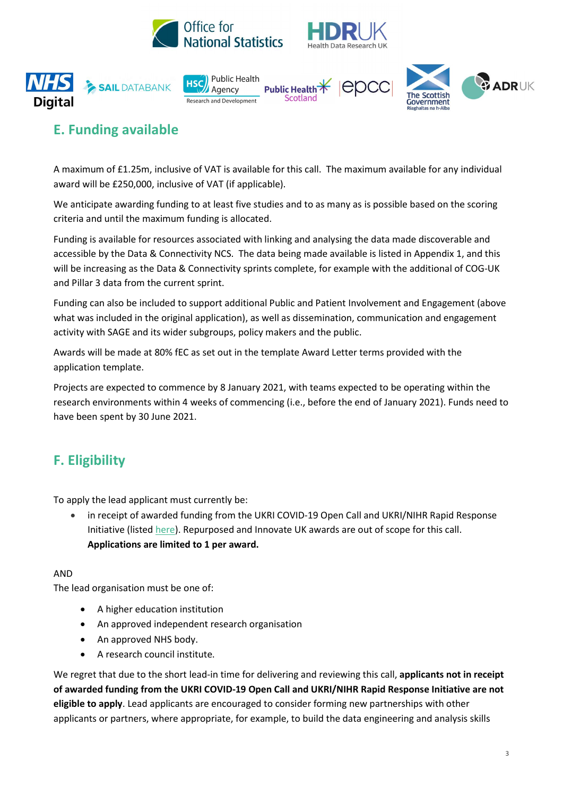











# E. Funding available

A maximum of £1.25m, inclusive of VAT is available for this call. The maximum available for any individual award will be £250,000, inclusive of VAT (if applicable).

We anticipate awarding funding to at least five studies and to as many as is possible based on the scoring criteria and until the maximum funding is allocated.

Funding is available for resources associated with linking and analysing the data made discoverable and accessible by the Data & Connectivity NCS. The data being made available is listed in Appendix 1, and this will be increasing as the Data & Connectivity sprints complete, for example with the additional of COG-UK and Pillar 3 data from the current sprint.

Funding can also be included to support additional Public and Patient Involvement and Engagement (above what was included in the original application), as well as dissemination, communication and engagement activity with SAGE and its wider subgroups, policy makers and the public.

Awards will be made at 80% fEC as set out in the template Award Letter terms provided with the application template.

Projects are expected to commence by 8 January 2021, with teams expected to be operating within the research environments within 4 weeks of commencing (i.e., before the end of January 2021). Funds need to have been spent by 30 June 2021.

# F. Eligibility

To apply the lead applicant must currently be:

 in receipt of awarded funding from the UKRI COVID-19 Open Call and UKRI/NIHR Rapid Response Initiative (listed here). Repurposed and Innovate UK awards are out of scope for this call. Applications are limited to 1 per award.

#### AND

The lead organisation must be one of:

- A higher education institution
- An approved independent research organisation
- An approved NHS body.
- A research council institute.

We regret that due to the short lead-in time for delivering and reviewing this call, applicants not in receipt of awarded funding from the UKRI COVID-19 Open Call and UKRI/NIHR Rapid Response Initiative are not eligible to apply. Lead applicants are encouraged to consider forming new partnerships with other applicants or partners, where appropriate, for example, to build the data engineering and analysis skills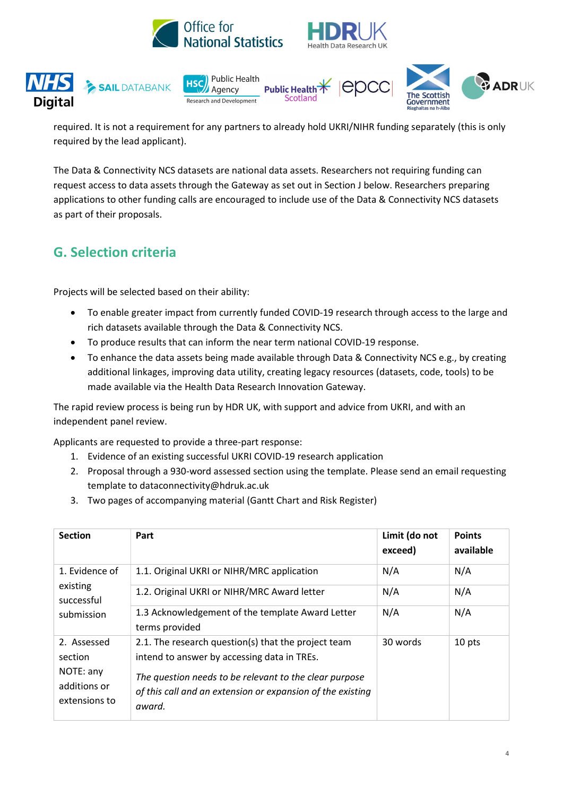





required. It is not a requirement for any partners to already hold UKRI/NIHR funding separately (this is only required by the lead applicant).

The Data & Connectivity NCS datasets are national data assets. Researchers not requiring funding can request access to data assets through the Gateway as set out in Section J below. Researchers preparing applications to other funding calls are encouraged to include use of the Data & Connectivity NCS datasets as part of their proposals.

### G. Selection criteria

Projects will be selected based on their ability:

- To enable greater impact from currently funded COVID-19 research through access to the large and rich datasets available through the Data & Connectivity NCS.
- To produce results that can inform the near term national COVID-19 response.
- To enhance the data assets being made available through Data & Connectivity NCS e.g., by creating additional linkages, improving data utility, creating legacy resources (datasets, code, tools) to be made available via the Health Data Research Innovation Gateway.

The rapid review process is being run by HDR UK, with support and advice from UKRI, and with an independent panel review.

Applicants are requested to provide a three-part response:

- 1. Evidence of an existing successful UKRI COVID-19 research application
- 2. Proposal through a 930-word assessed section using the template. Please send an email requesting template to dataconnectivity@hdruk.ac.uk
- 3. Two pages of accompanying material (Gantt Chart and Risk Register)

| <b>Section</b>                                                       | Part                                                                                                                                                                                                                                 | Limit (do not<br>exceed) | <b>Points</b><br>available |
|----------------------------------------------------------------------|--------------------------------------------------------------------------------------------------------------------------------------------------------------------------------------------------------------------------------------|--------------------------|----------------------------|
| 1. Evidence of<br>existing<br>successful<br>submission               | 1.1. Original UKRI or NIHR/MRC application                                                                                                                                                                                           | N/A                      | N/A                        |
|                                                                      | 1.2. Original UKRI or NIHR/MRC Award letter                                                                                                                                                                                          | N/A                      | N/A                        |
|                                                                      | 1.3 Acknowledgement of the template Award Letter<br>terms provided                                                                                                                                                                   | N/A                      | N/A                        |
| 2. Assessed<br>section<br>NOTE: any<br>additions or<br>extensions to | 2.1. The research question(s) that the project team<br>intend to answer by accessing data in TREs.<br>The question needs to be relevant to the clear purpose<br>of this call and an extension or expansion of the existing<br>award. | 30 words                 | 10 pts                     |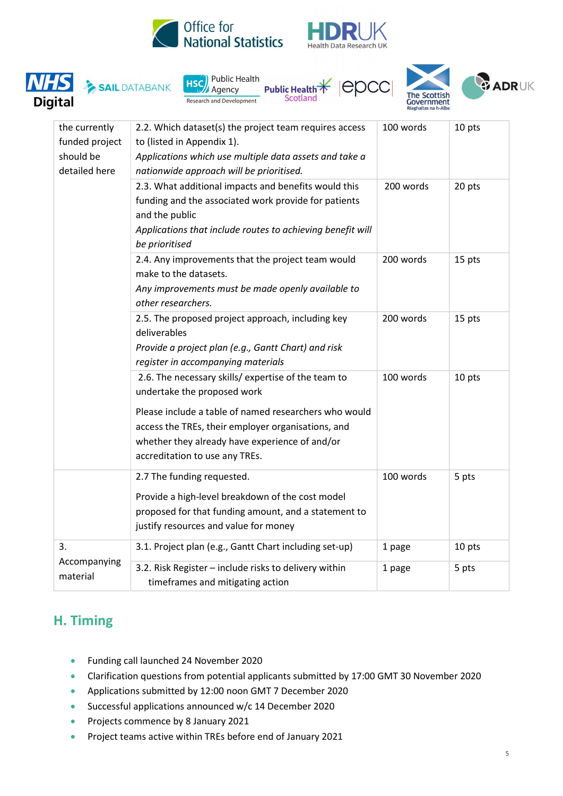











| the currently<br>funded project<br>should be<br>detailed here | 2.2. Which dataset(s) the project team requires access<br>to (listed in Appendix 1).<br>Applications which use multiple data assets and take a<br>nationwide approach will be prioritised.                                                                                            | 100 words        | 10 pts          |
|---------------------------------------------------------------|---------------------------------------------------------------------------------------------------------------------------------------------------------------------------------------------------------------------------------------------------------------------------------------|------------------|-----------------|
|                                                               | 2.3. What additional impacts and benefits would this<br>funding and the associated work provide for patients<br>and the public<br>Applications that include routes to achieving benefit will<br>be prioritised                                                                        | 200 words        | 20 pts          |
|                                                               | 2.4. Any improvements that the project team would<br>make to the datasets.<br>Any improvements must be made openly available to<br>other researchers.                                                                                                                                 | 200 words        | 15 pts          |
|                                                               | 2.5. The proposed project approach, including key<br>deliverables<br>Provide a project plan (e.g., Gantt Chart) and risk<br>register in accompanying materials                                                                                                                        | 200 words        | 15 pts          |
|                                                               | 2.6. The necessary skills/ expertise of the team to<br>undertake the proposed work<br>Please include a table of named researchers who would<br>access the TREs, their employer organisations, and<br>whether they already have experience of and/or<br>accreditation to use any TREs. | 100 words        | 10 pts          |
|                                                               | 2.7 The funding requested.<br>Provide a high-level breakdown of the cost model<br>proposed for that funding amount, and a statement to<br>justify resources and value for money                                                                                                       | 100 words        | 5 pts           |
| 3.<br>Accompanying<br>material                                | 3.1. Project plan (e.g., Gantt Chart including set-up)<br>3.2. Risk Register - include risks to delivery within<br>timeframes and mitigating action                                                                                                                                   | 1 page<br>1 page | 10 pts<br>5 pts |
|                                                               |                                                                                                                                                                                                                                                                                       |                  |                 |

### H. Timing

- Funding call launched 24 November 2020
- Clarification questions from potential applicants submitted by 17:00 GMT 30 November 2020
- Applications submitted by 12:00 noon GMT 7 December 2020
- Successful applications announced w/c 14 December 2020
- **•** Projects commence by 8 January 2021
- **•** Project teams active within TREs before end of January 2021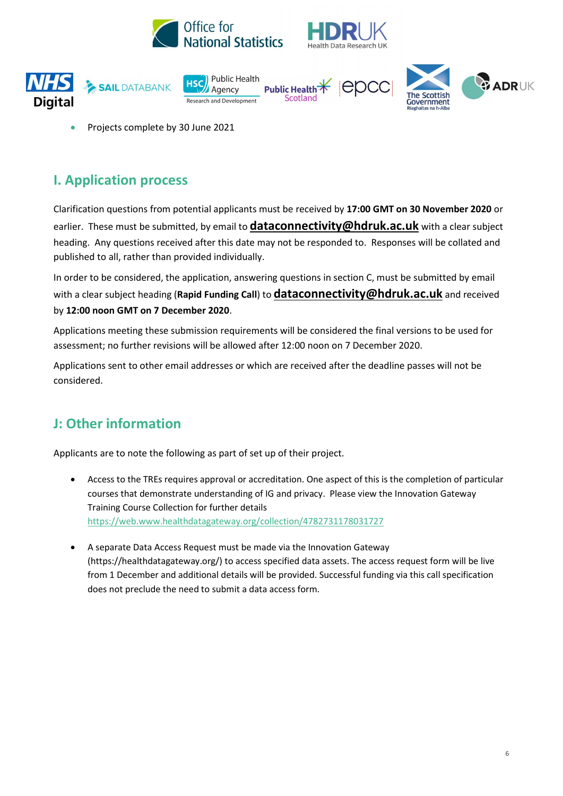











Projects complete by 30 June 2021

## I. Application process

Clarification questions from potential applicants must be received by 17:00 GMT on 30 November 2020 or earlier. These must be submitted, by email to **dataconnectivity@hdruk.ac.uk** with a clear subject heading. Any questions received after this date may not be responded to. Responses will be collated and published to all, rather than provided individually.

In order to be considered, the application, answering questions in section C, must be submitted by email with a clear subject heading (Rapid Funding Call) to **dataconnectivity@hdruk.ac.uk** and received by 12:00 noon GMT on 7 December 2020.

Applications meeting these submission requirements will be considered the final versions to be used for assessment; no further revisions will be allowed after 12:00 noon on 7 December 2020.

Applications sent to other email addresses or which are received after the deadline passes will not be considered.

# J: Other information

Applicants are to note the following as part of set up of their project.

- Access to the TREs requires approval or accreditation. One aspect of this is the completion of particular courses that demonstrate understanding of IG and privacy. Please view the Innovation Gateway Training Course Collection for further details https://web.www.healthdatagateway.org/collection/4782731178031727
- A separate Data Access Request must be made via the Innovation Gateway (https://healthdatagateway.org/) to access specified data assets. The access request form will be live from 1 December and additional details will be provided. Successful funding via this call specification does not preclude the need to submit a data access form.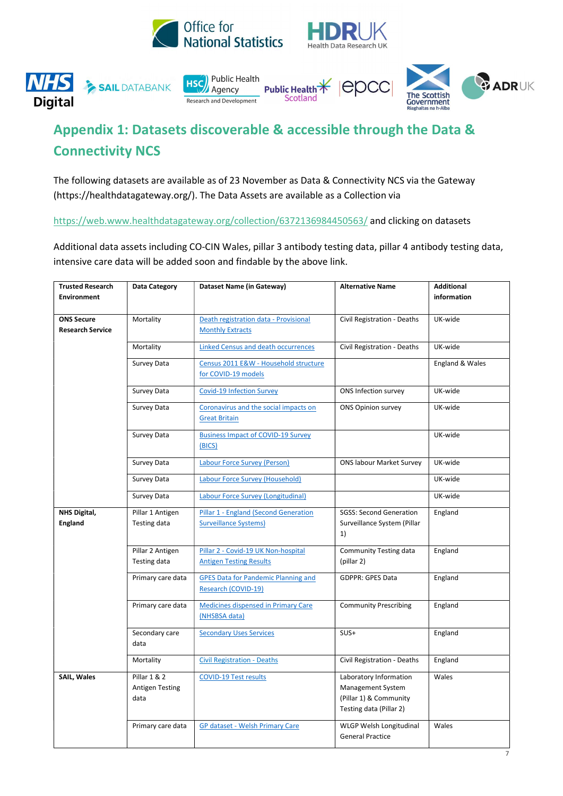











# Appendix 1: Datasets discoverable & accessible through the Data & Connectivity NCS

The following datasets are available as of 23 November as Data & Connectivity NCS via the Gateway (https://healthdatagateway.org/). The Data Assets are available as a Collection via

https://web.www.healthdatagateway.org/collection/6372136984450563/ and clicking on datasets

Additional data assets including CO-CIN Wales, pillar 3 antibody testing data, pillar 4 antibody testing data, intensive care data will be added soon and findable by the above link.

| <b>Trusted Research</b><br><b>Environment</b> | <b>Data Category</b>                           | Dataset Name (in Gateway)                                             | <b>Alternative Name</b>                                                                          | <b>Additional</b><br>information |
|-----------------------------------------------|------------------------------------------------|-----------------------------------------------------------------------|--------------------------------------------------------------------------------------------------|----------------------------------|
|                                               |                                                |                                                                       |                                                                                                  |                                  |
| <b>ONS Secure</b>                             | Mortality                                      | Death registration data - Provisional                                 | Civil Registration - Deaths                                                                      | UK-wide                          |
| <b>Research Service</b>                       |                                                | <b>Monthly Extracts</b>                                               |                                                                                                  |                                  |
|                                               | Mortality                                      | <b>Linked Census and death occurrences</b>                            | Civil Registration - Deaths                                                                      | UK-wide                          |
|                                               | Survey Data                                    | Census 2011 E&W - Household structure<br>for COVID-19 models          |                                                                                                  | England & Wales                  |
|                                               | Survey Data                                    | <b>Covid-19 Infection Survey</b>                                      | ONS Infection survey                                                                             | UK-wide                          |
|                                               | Survey Data                                    | Coronavirus and the social impacts on<br><b>Great Britain</b>         | <b>ONS Opinion survey</b>                                                                        | UK-wide                          |
|                                               | Survey Data                                    | <b>Business Impact of COVID-19 Survey</b><br>(BICS)                   |                                                                                                  | UK-wide                          |
|                                               | Survey Data                                    | <b>Labour Force Survey (Person)</b>                                   | <b>ONS labour Market Survey</b>                                                                  | UK-wide                          |
|                                               | Survey Data                                    | Labour Force Survey (Household)                                       |                                                                                                  | UK-wide                          |
|                                               | Survey Data                                    | Labour Force Survey (Longitudinal)                                    |                                                                                                  | UK-wide                          |
| NHS Digital,                                  | Pillar 1 Antigen                               | Pillar 1 - England (Second Generation                                 | <b>SGSS: Second Generation</b>                                                                   | England                          |
| <b>England</b>                                | Testing data                                   | <b>Surveillance Systems)</b>                                          | Surveillance System (Pillar<br>1)                                                                |                                  |
|                                               | Pillar 2 Antigen<br>Testing data               | Pillar 2 - Covid-19 UK Non-hospital<br><b>Antigen Testing Results</b> | <b>Community Testing data</b><br>(pillar 2)                                                      | England                          |
|                                               | Primary care data                              | <b>GPES Data for Pandemic Planning and</b><br>Research (COVID-19)     | <b>GDPPR: GPES Data</b>                                                                          | England                          |
|                                               | Primary care data                              | <b>Medicines dispensed in Primary Care</b><br>(NHSBSA data)           | <b>Community Prescribing</b>                                                                     | England                          |
|                                               | Secondary care<br>data                         | <b>Secondary Uses Services</b>                                        | $SUS+$                                                                                           | England                          |
|                                               | Mortality                                      | <b>Civil Registration - Deaths</b>                                    | Civil Registration - Deaths                                                                      | England                          |
| <b>SAIL, Wales</b>                            | Pillar 1 & 2<br><b>Antigen Testing</b><br>data | <b>COVID-19 Test results</b>                                          | Laboratory Information<br>Management System<br>(Pillar 1) & Community<br>Testing data (Pillar 2) | Wales                            |
|                                               | Primary care data                              | GP dataset - Welsh Primary Care                                       | WLGP Welsh Longitudinal<br><b>General Practice</b>                                               | Wales                            |